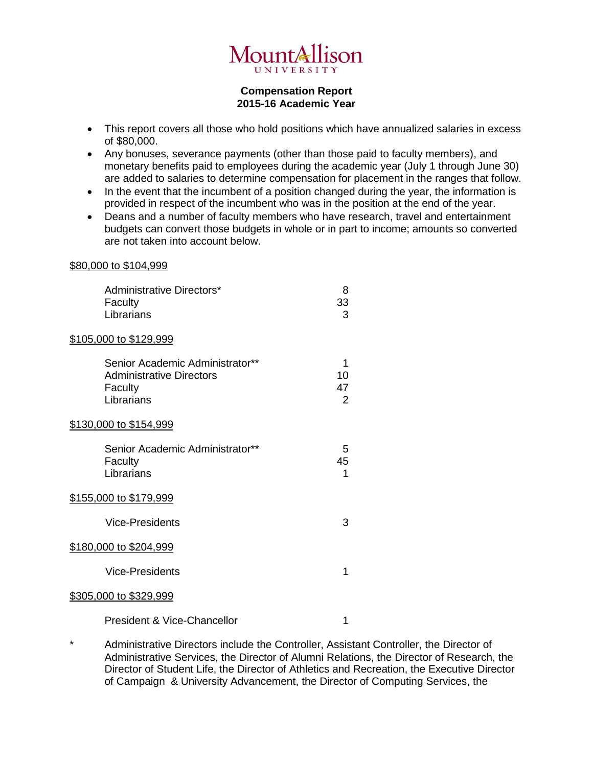

## **Compensation Report 2015-16 Academic Year**

- This report covers all those who hold positions which have annualized salaries in excess of \$80,000.
- Any bonuses, severance payments (other than those paid to faculty members), and monetary benefits paid to employees during the academic year (July 1 through June 30) are added to salaries to determine compensation for placement in the ranges that follow.
- In the event that the incumbent of a position changed during the year, the information is provided in respect of the incumbent who was in the position at the end of the year.
- Deans and a number of faculty members who have research, travel and entertainment budgets can convert those budgets in whole or in part to income; amounts so converted are not taken into account below.

## \$80,000 to \$104,999

| Administrative Directors*<br>Faculty<br>Librarians                                          | 8<br>33<br>3                    |
|---------------------------------------------------------------------------------------------|---------------------------------|
| <u>\$105,000 to \$129,999</u>                                                               |                                 |
| Senior Academic Administrator**<br><b>Administrative Directors</b><br>Faculty<br>Librarians | 1<br>10<br>47<br>$\overline{2}$ |
| <u>\$130,000 to \$154,999</u>                                                               |                                 |
| Senior Academic Administrator**<br>Faculty<br>Librarians                                    | 5<br>45<br>1                    |
| <u>\$155,000 to \$179,999</u>                                                               |                                 |
| <b>Vice-Presidents</b>                                                                      | 3                               |
| <u>\$180,000 to \$204,999</u>                                                               |                                 |
| <b>Vice-Presidents</b>                                                                      | 1                               |
| \$305,000 to \$329,999                                                                      |                                 |
| <b>President &amp; Vice-Chancellor</b>                                                      | 1                               |

\* Administrative Directors include the Controller, Assistant Controller, the Director of Administrative Services, the Director of Alumni Relations, the Director of Research, the Director of Student Life, the Director of Athletics and Recreation, the Executive Director of Campaign & University Advancement, the Director of Computing Services, the